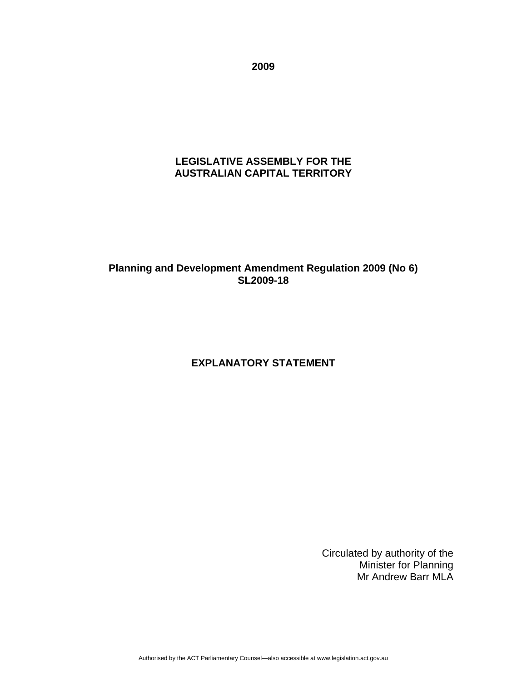**2009** 

#### **LEGISLATIVE ASSEMBLY FOR THE AUSTRALIAN CAPITAL TERRITORY**

### **Planning and Development Amendment Regulation 2009 (No 6) SL2009-18**

# **EXPLANATORY STATEMENT**

Circulated by authority of the Minister for Planning Mr Andrew Barr MLA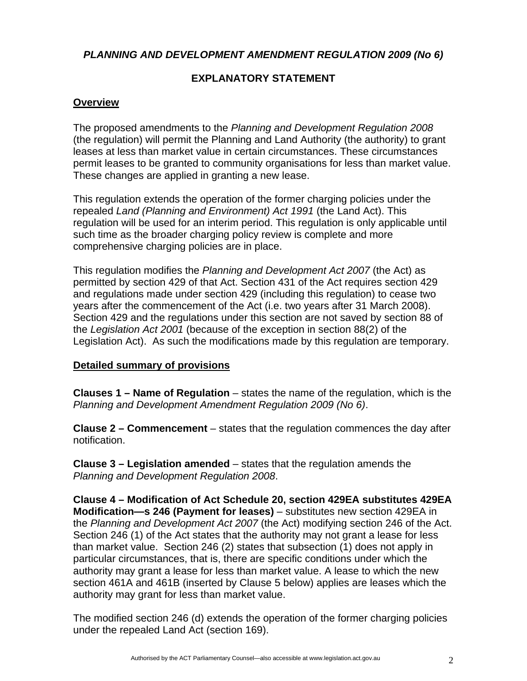*PLANNING AND DEVELOPMENT AMENDMENT REGULATION 2009 (No 6)* 

## **EXPLANATORY STATEMENT**

### **Overview**

The proposed amendments to the *Planning and Development Regulation 2008* (the regulation) will permit the Planning and Land Authority (the authority) to grant leases at less than market value in certain circumstances. These circumstances permit leases to be granted to community organisations for less than market value. These changes are applied in granting a new lease.

This regulation extends the operation of the former charging policies under the repealed *Land (Planning and Environment) Act 1991* (the Land Act). This regulation will be used for an interim period. This regulation is only applicable until such time as the broader charging policy review is complete and more comprehensive charging policies are in place.

This regulation modifies the *Planning and Development Act 2007* (the Act) as permitted by section 429 of that Act. Section 431 of the Act requires section 429 and regulations made under section 429 (including this regulation) to cease two years after the commencement of the Act (i.e. two years after 31 March 2008). Section 429 and the regulations under this section are not saved by section 88 of the *Legislation Act 2001* (because of the exception in section 88(2) of the Legislation Act). As such the modifications made by this regulation are temporary.

#### **Detailed summary of provisions**

**Clauses 1 – Name of Regulation** – states the name of the regulation, which is the *Planning and Development Amendment Regulation 2009 (No 6)*.

**Clause 2 – Commencement** – states that the regulation commences the day after notification.

**Clause 3 – Legislation amended** – states that the regulation amends the *Planning and Development Regulation 2008*.

**Clause 4 – Modification of Act Schedule 20, section 429EA substitutes 429EA Modification—s 246 (Payment for leases)** – substitutes new section 429EA in the *Planning and Development Act 2007* (the Act) modifying section 246 of the Act. Section 246 (1) of the Act states that the authority may not grant a lease for less than market value. Section 246 (2) states that subsection (1) does not apply in particular circumstances, that is, there are specific conditions under which the authority may grant a lease for less than market value. A lease to which the new section 461A and 461B (inserted by Clause 5 below) applies are leases which the authority may grant for less than market value.

The modified section 246 (d) extends the operation of the former charging policies under the repealed Land Act (section 169).